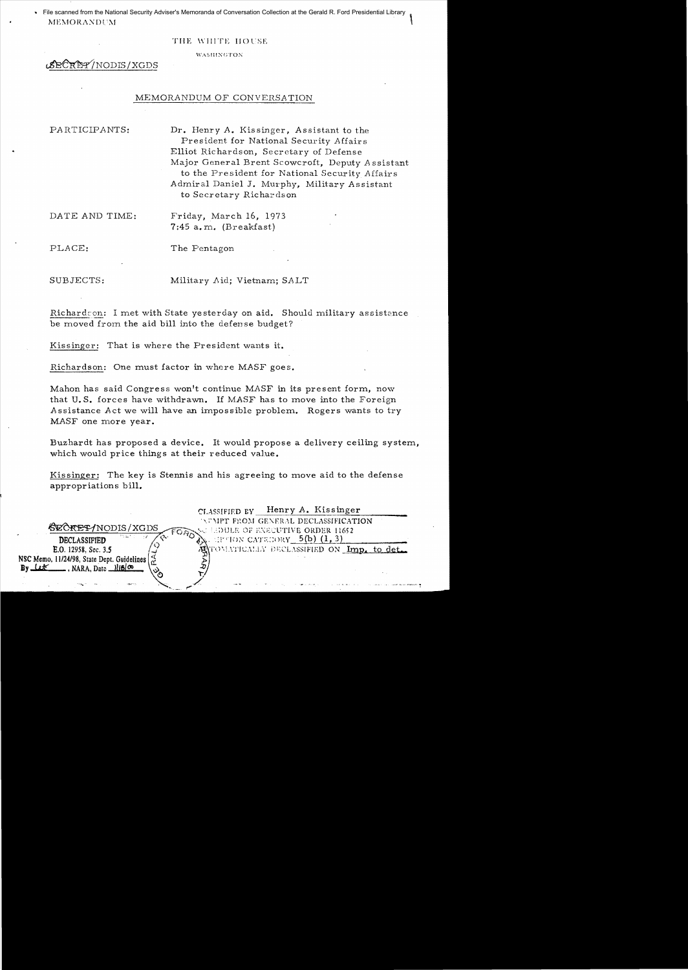File scanned from the National Security Adviser's Memoranda of Conversation Collection at the Gerald R. Ford Presidential Library  $\parallel$ 

#### THE WHITE HOUSE

#### **WASHINGTON**

BECRET/NODIS/XGDS

#### MEMORANDUM OF CONVERSATION

PARTICIPANTS: Dr. Henry *A.* Kissinger, Assistant to the President for National Security Affair s Elliot Richardson, Secretary of Defense Major General Brent Scowcroft, Deputy Assistant to the President for National Security Affairs Admiral Daniel J. Murphy, Military Assistant to Secretary Richardson

DATE AND TIME: Friday, March 16, 1973  $7:45$  a.m. (Breakfast)

PLACE: The Pentagon

SUBJECTS: Military Aid; Vietnam; SALT

Richard:on: I met with State yesterday on aid. Should military assistance be moved from the aid bill into the defense budget?

Kissinger: That is where the President wants it.

Richardson: One must factor in where *MASF* goes.

Mahon has said Congress won't continue *MASF* in its present form, now that U. S. forces have withdrawn. If *MASF* has to move into the Foreign Assistance *Act* we will have an impossible problem. Rogers wants to try *MASF* one more year.

Buzhardt has proposed a device. It would propose a delivery ceiling system. which would price things at their reduced value.

Kissinger: The key is Stennis and his agreeing to move aid to the defense appropriations bill.

CLASSIFIED BY Henry *A.* Kissinger  $\bigotimes_{\mathcal{C}} \bigotimes_{\mathcal{C}} \bigotimes_{\mathcal{C}} \bigotimes_{\mathcal{C}} \bigotimes_{\mathcal{C}} \bigotimes_{\mathcal{C}} \bigotimes_{\mathcal{C}} \bigotimes_{\mathcal{C}} \bigotimes_{\mathcal{C}} \bigotimes_{\mathcal{C}} \bigotimes_{\mathcal{C}} \bigotimes_{\mathcal{C}} \bigotimes_{\mathcal{C}} \bigotimes_{\mathcal{C}} \bigotimes_{\mathcal{C}} \bigotimes_{\mathcal{C}} \bigotimes_{\mathcal{C}} \bigotimes_{\mathcal{C}} \bigotimes_{\mathcal{C}} \bigotimes_{\mathcal{C}}$  $\overline{C}$ REPTNODIS/XGDS  $\overline{C}$  FORDS EDULE OF EXECUTIVE ORDER 11652 **DECLASSIFIED**  $\begin{array}{c} \mathcal{P} & \mathcal{P} \\ \mathcal{P} & \mathcal{P} \end{array}$ . HE TON CATEGORY  $\begin{array}{c} 5(b) (1, 3) \\ \text{E.0.12958, Sec. 3.5} \end{array}$ TOMATICALIA' DECLASSIFIED ON <u>Imp. to det</u>. NSC Memo, 11124/98, State Dept. Guidelines \<c <sup>~</sup>By (.tK .. 118 NARA, Date 1118 New . ...... '.... , .. ~,...../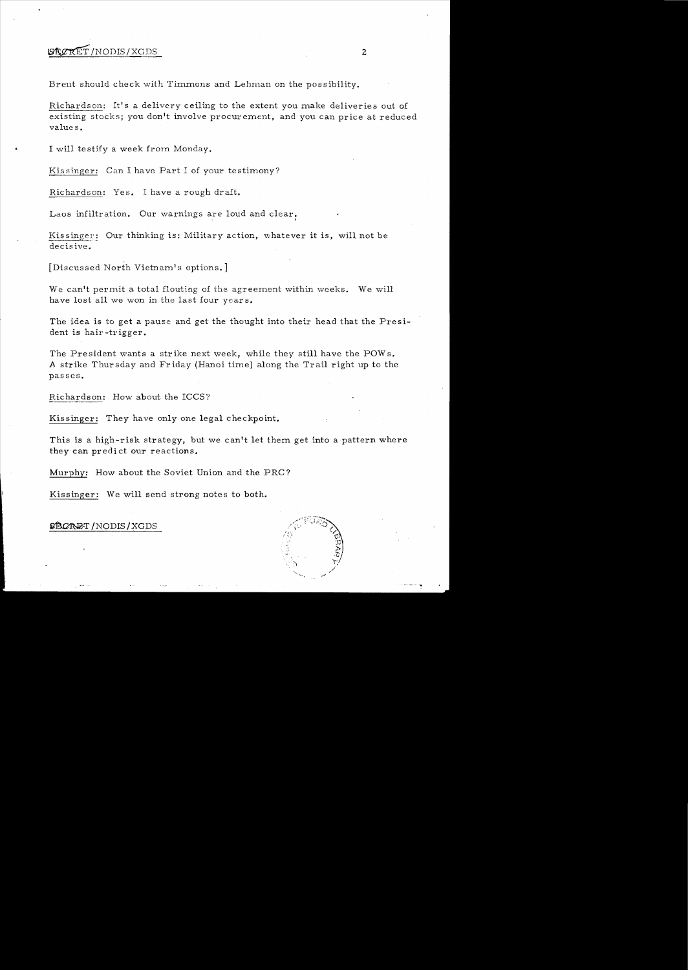# $\mathcal{B}\&\mathcal{R}\&\mathcal{R}$   $\mathcal{R}$   $\mathcal{R}$   $\mathcal{R}$   $\mathcal{R}$   $\mathcal{R}$   $\mathcal{R}$   $\mathcal{R}$   $\mathcal{R}$   $\mathcal{R}$   $\mathcal{R}$   $\mathcal{R}$   $\mathcal{R}$   $\mathcal{R}$   $\mathcal{R}$   $\mathcal{R}$   $\mathcal{R}$   $\mathcal{R}$   $\mathcal{R}$   $\mathcal{R}$   $\mathcal{R}$   $\mathcal{R}$   $\mathcal{R}$

Brent should check with Timmons and Lehman on the possibility.

Richardson: It's a delivery ceiling to the extent you make deliveries out of existing stocks; you don't involve procurement, and you can price at reduced values.

I will testify a week from Monday.

Kissinger: Can I have Part I of your testimony?

Richardson: Yes. I have a rough draft.

Laos infiltration. Our warnings are loud and clear.

Kissinger: Our thinking is: Military action, whatever it is, will not be decisive.

[Discussed North Vietnam's options.]

We can't permit a total flouting of the agreement within weeks. We will have lost all we won in the last four years.

The idea is to get a pause and get the thought into their head that the Presi dent is hair -trigger.

The President wants a strike next week, while they still have the POWs. A strike Thursday and Friday (Hanoi time) along the Trail right up to the passes.

Richardson: How about the ICCS?

Kissinger: They have only one legal checkpoint.

This is a high-risk strategy, but we can't let them get into a pattern where they can predict our reactions.

Murphy: How about the Soviet Union and the PRC?

Kissinger: We will send strong notes to both.

~T/NODIS/XGDS

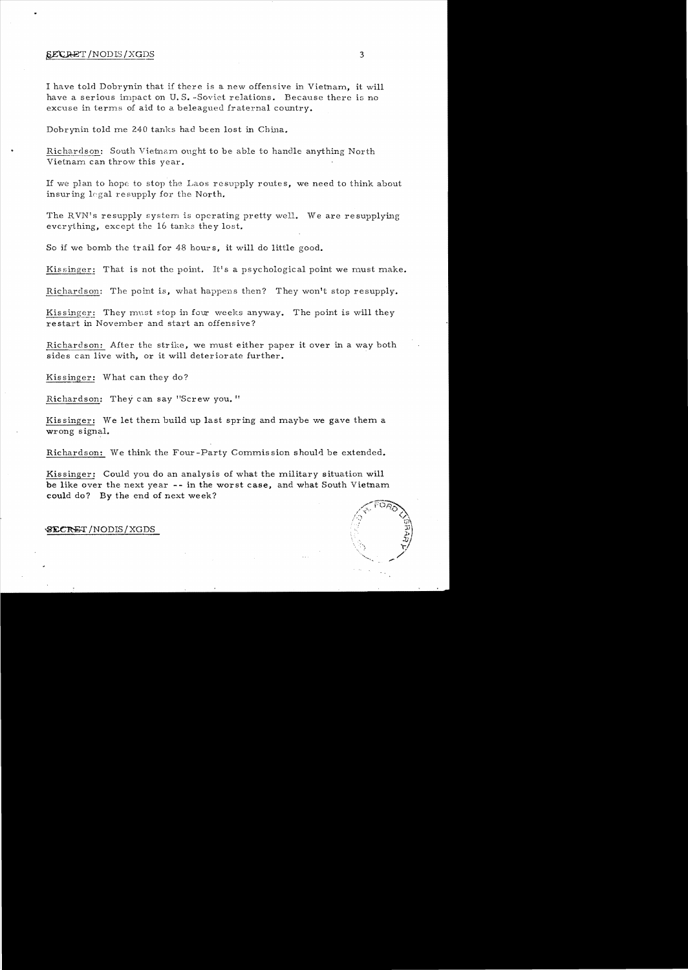#### $\frac{E}{X}$ GRET / NODIS / XGDS **3 3**

I have told Dobrynin that if there is a new offensive in Vietnam, it will have a serious impact on U.S.-Soviet relations. Because there is no excuse in terms of aid to a beleagued fraternal country.

Dobrynin told me 240 tanks had been lost in China.

Richardson: South Vietnam ought to be able to handle anything North Vietnam can throw this year.

If we plan to hope to stop the Laos resupply routes, we need to think about insuring legal resupply for the North.

The RVN's resupply system is operating pretty well. We are resupplying everything, except the 16 tanks they lost.

So if we bomb the trail for 48 hours, it will do little good.

Kissinger: That is not the point. It's a psychological point we must make.

Richardson: The point is, what happens then? They won't stop resupply.

Kissinger: They must stop in four weeks anyway. The point is will they restart in November and start an offensive?

Richardson: After the strike, we must either paper it over in a way both sides can live with, or it will deteriorate further.

Kissinger: What can they do?

Richardson: They can say "Screw you."

Kissinger: We let them build up last spring and maybe we gave them a wrong signal.

Richardson: We think the Four-Party Commission should be extended.

Kissinger: Could you do an analysis of what the military situation will be like over the next year -- in the worst case, and what South Vietnam could do? By the end of next week?



#### ~/NODIS/XGDS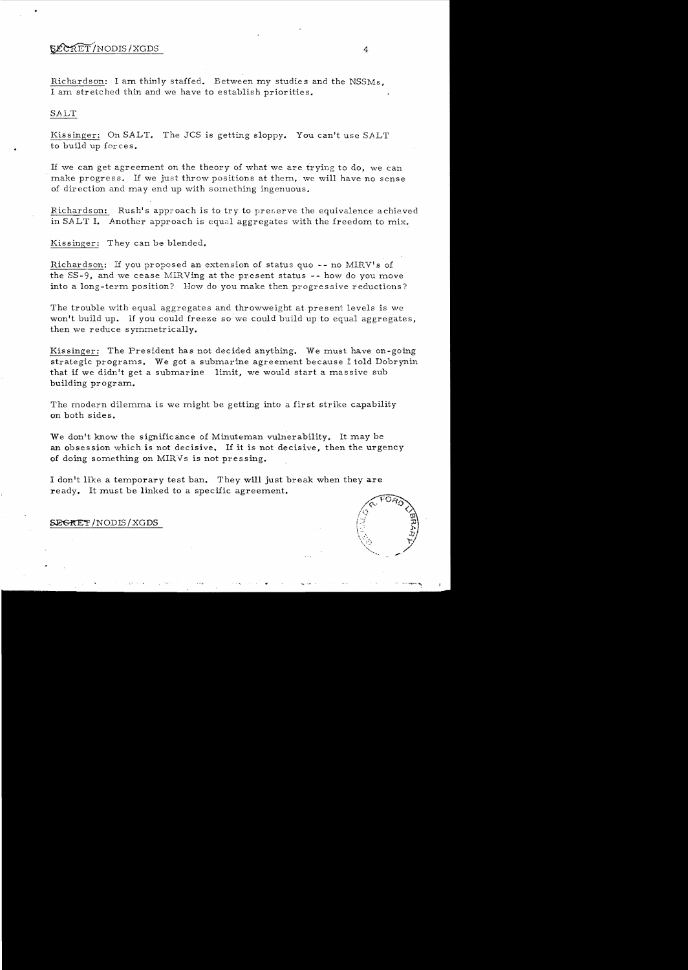## $\mathcal{L}\mathcal{L}\mathcal{R}E\overline{T}$ /NODIS/XGDS 4

Richardson: I am thinly staffed. Between my studies and the NSSMs, I am stretched thin and we have to establish priorities.

#### SALT

Kissinger: On SALT. The JCS is getting sloppy. You can't use SALT to build up forces.

If we can get agreement on the theory of what we are trying to do, we can make progress. If we just throw positions at them, we will have no sense of direction and may end up with something ingenuous.

ichardson: Rush's approach is to try to preserve the equivalence achieved in SALT I. Another approach is equal aggregates with the freedom to mix.

Kissinger: They can be blended.

Richardson: If you proposed an extension of status quo  $-$ - no MIRV's of the  $SS-9$ , and we cease MIRVing at the present status  $-$ - how do you move into a long-term position? How do you make then progressive reductions?

The trouble with equal aggregates and throwweight at present levels is we won't build up. If you could freeze so we could build up to equal aggregates, then we reduce symmetrically.

Kissinger: The President has not decided anything. We must have on-going strategic programs. We got a submarine agreement because I told Dobrynin that if we didn't get a submarine limit, we would start a massive sub building program.

The modern dilemma is we might be getting into a first strike capability on both sides.

We don't know the significance of Minuteman vulnerability. It may be an obsession which is not decisive. If it is not decisive, then the urgency of doing something on MIRVs is not pressing.

I don't like a temporary test ban. They will just break when they are ready. It must be linked to a specific agreement.



**SEGRET/NODIS/XGDS**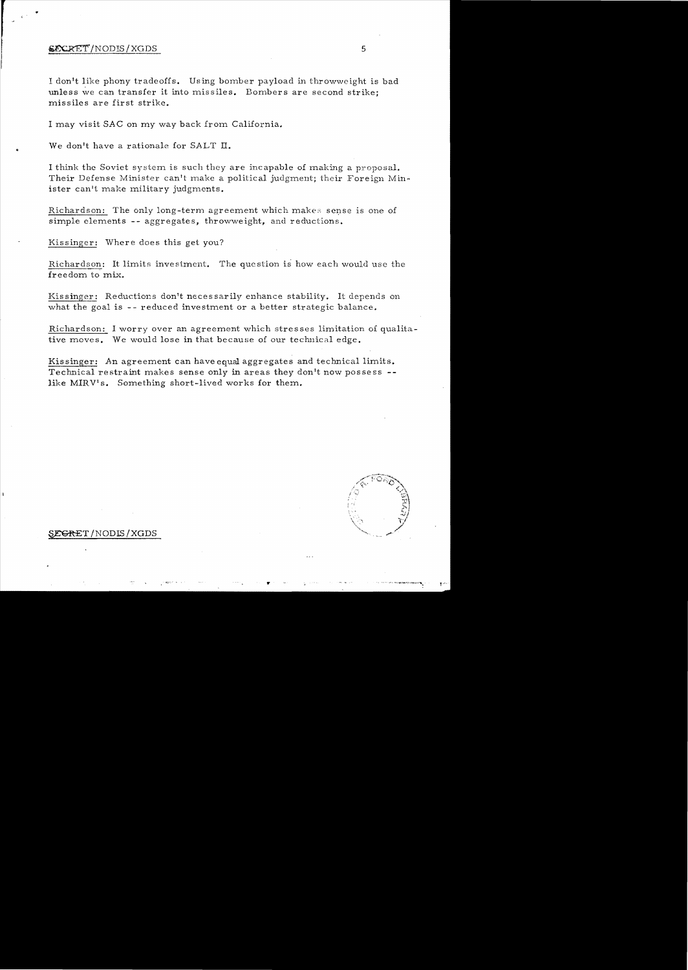### ~/NODIS/XGDS 5

..

I don't like phony tradeoffs. Using bomber payload in throwweight is bad unless we can transfer it into missiles. Bombers are second strike; missiles are first strike.

I may visit SAC on my way back from California.

.. We don't have a rationale for SALT **II.** 

I think the Soviet system is such they are incapable of making a proposal. Their Defense Minister can't make a political judgment; their Foreign Minister can't make military judgments.

Richardson: The only long-term agreement which makes sense is one of simple elements -- aggregates, throwweight, and reductions.

Kissinger: Where does this get you?

Richardson: It limits investment. The question is how each would use the freedom to mix.

Kis **singer:** Reductions don't neces sarily enhance stability. It depends on what the goal is  $-$ - reduced investment or a better strategic balance.

Richardson: I worry over an agreement which stresses limitation of qualitative moves. We would lose in that because of our technical edge.

Kissinger: An agreement can have equal aggregates and technical limits. Technical restraint makes sense only in areas they don't now possess -like MIRV's. Something short-lived works for them.

### **SEGRET / NODIS / XGDS**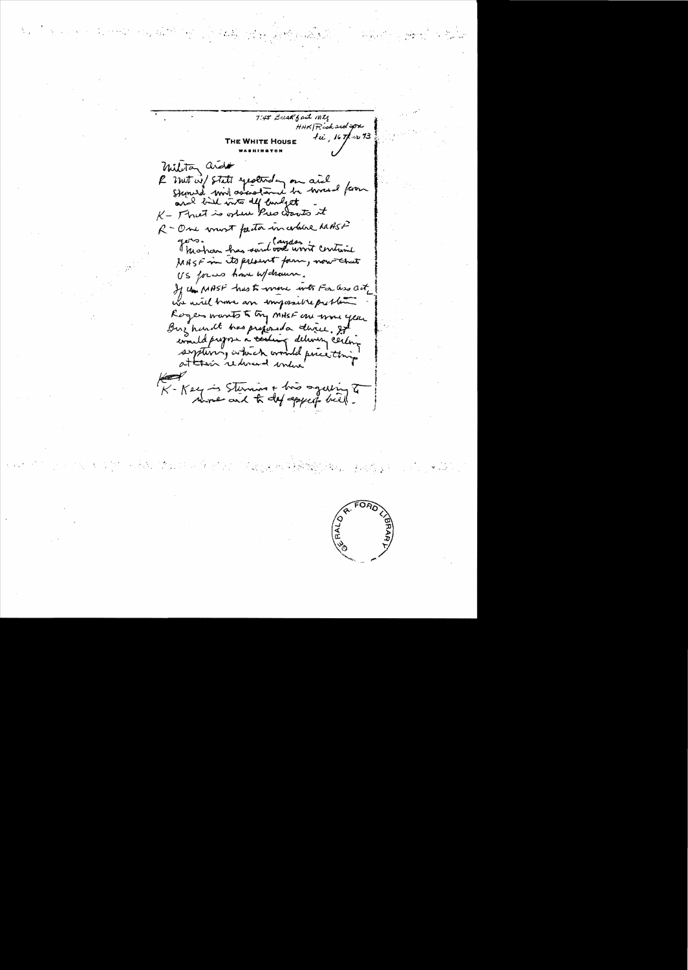7:45 Break fast mty HAK/Richardspx  $f\ddot{u}$ , 16  $r$ /2013 military arida R met wil State yesterday on aid and bill with the coarts of R-One want factor incoldere MASF gers. her has said book won't containe MASF in its present form, now that US forces have welchause. If the MASF has to wrone with For and act we will have an impossible problem Rogers wants to try MHSF one would get Buz handt has prepared a direce, got concilations à caling delivery certify system, which would price thing K-Key is Sterning + his again of

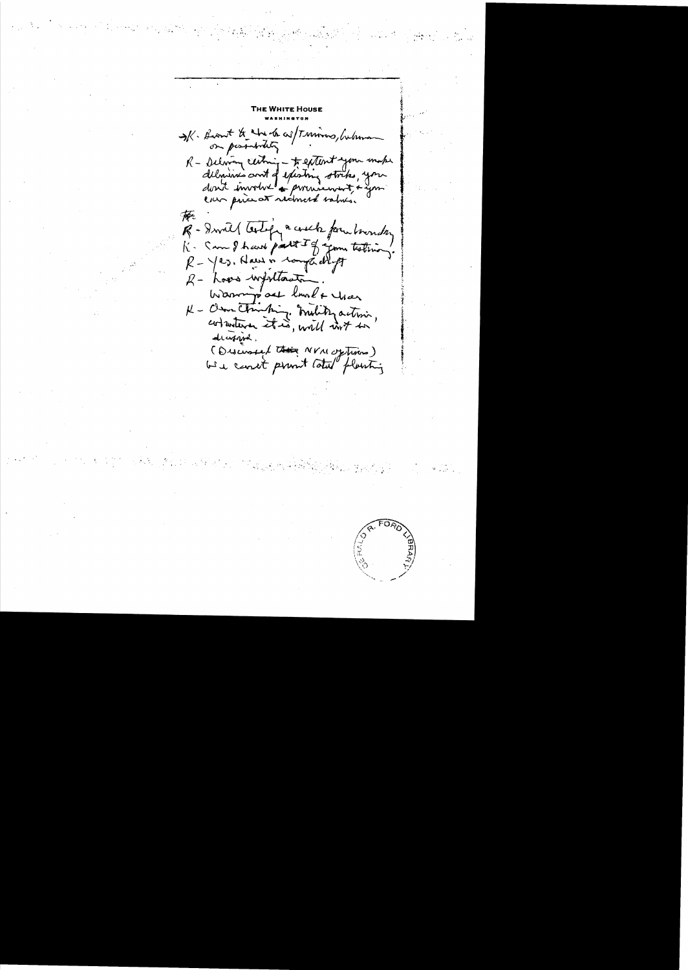IK. Becount to the de as Trumons, Cubina on possibility R - Delwin centring - to extent you make delmines and of existing stocks, you 承 R - Iwill testify a coold form boundary K. San I have part I of join testinon.  $R - \gamma$ es, Haus in comparatiff R- Loves withtants Warmin act lund + tras decopied. (Discussed the NVM options)

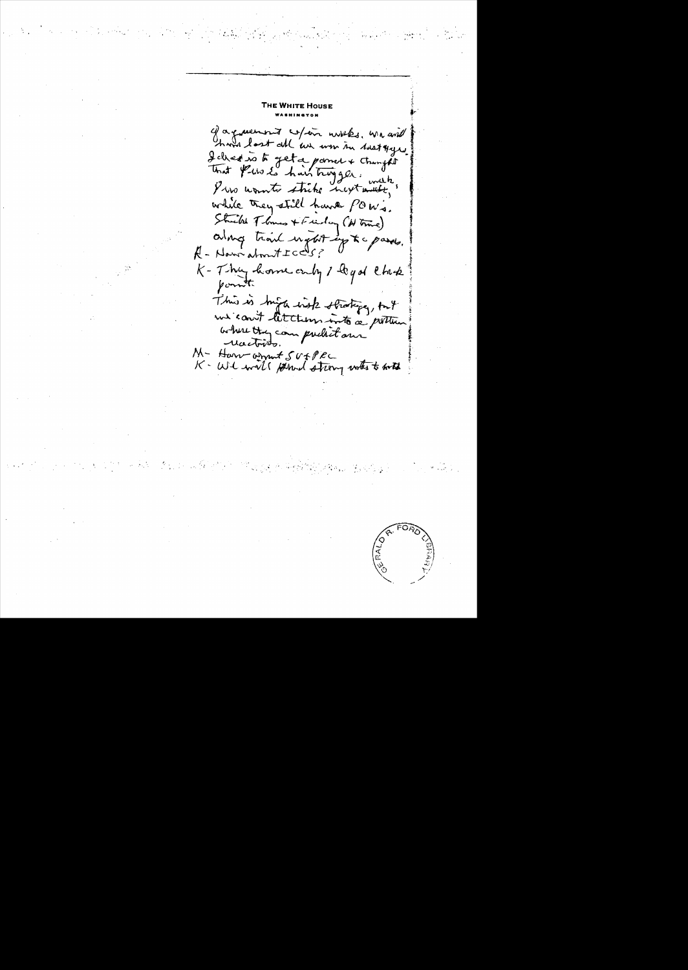THE WHITE HOUSE c) a queenous copar notes, we and I chedis to get a point & changes while they still have powi. Strikt Threw + Friday (H true) along trail upot up to passes. R - Nami about ICCUS? K-Thy home only 1 to got that point This is high high strating, but where they can pucket our M- Harr armut SUFPEC<br>K-WI will permed strong works to work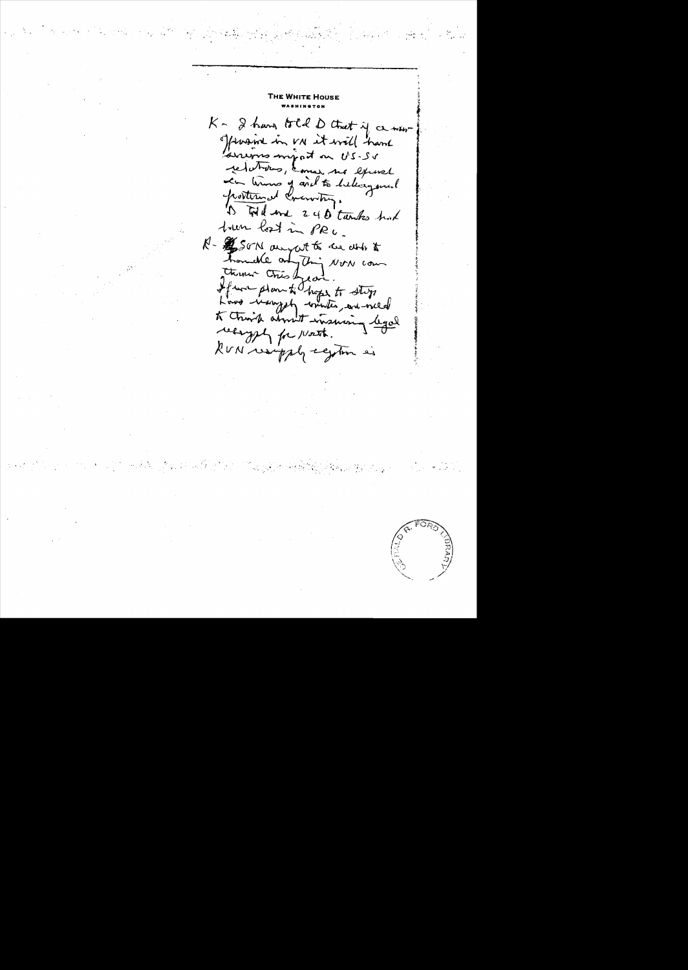$K$ - I have total D that if a new offswaine in vn it will have relations, comme ma exercel 1) Will and 240 tunks had trum lost in PRU. R- \$ SON anyat to be able to homeste and thing NON com there Chies Lead.<br>If was plan to hope to stop Low med recognization 1

 $\label{eq:1} \mathbf{V}_{\mathcal{A}}^{(n)} = \left\{ \begin{array}{ll} 0.8 & \text{if} \quad n_{\mathcal{A}} \\ 0.8 & \text{if} \quad n_{\mathcal{A}} \end{array} \right.$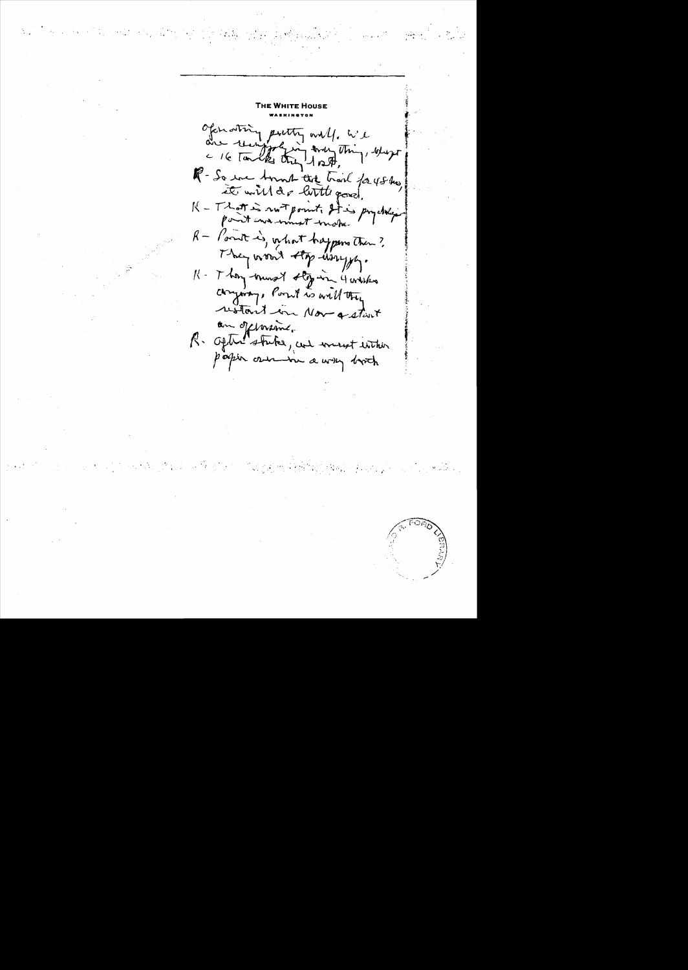Of for other putty will, we are recrippen any thing, where R- So eve tount tite troil for 45 thes, K - That is not point. It is profite R - Point is, what happens then? They would stop hongs. K- They hunst stop in 4 withs company, Point is will they an offerance.<br>R. Optic stutes, and wount entire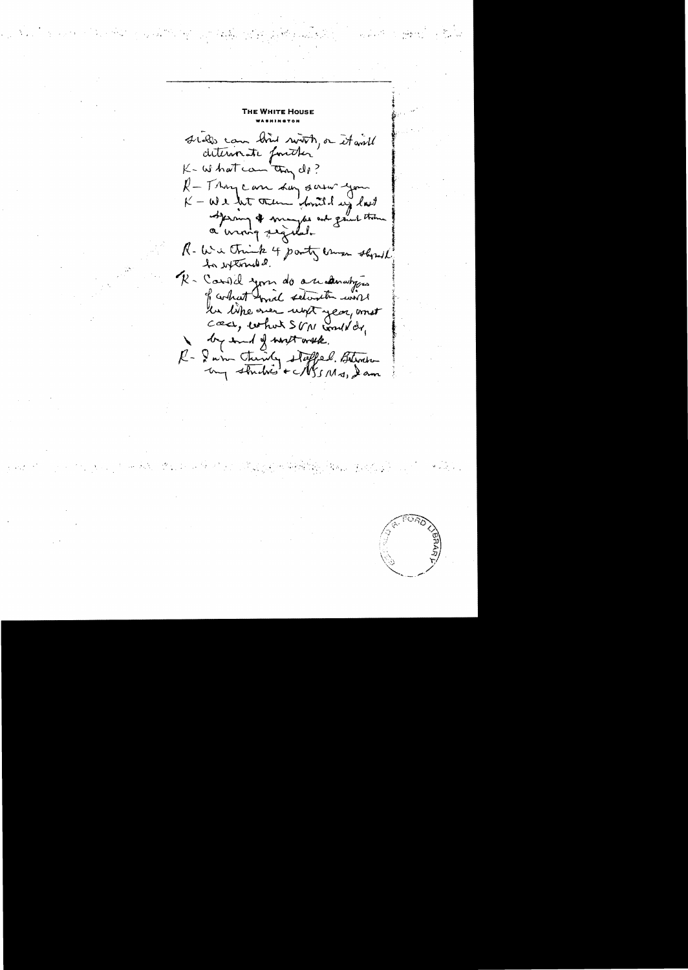siels can bien switch, or it will K- whatcom they di? R-Thycan Lay saw you  $K - \omega$  e bet them don't day last Spring & maybe out great the R- Wie Chick 4 party camer should R. Carold your do anderating of contrat wind setimetre work le like oner unst year, anst coses, what SVM would dr, by end of writ with. R- I win Chinly stepped. Blenche



 $\frac{1}{2}$  ,  $\frac{1}{2}$  ,  $\frac{1}{2}$  ,  $\frac{1}{2}$  ,  $\frac{1}{2}$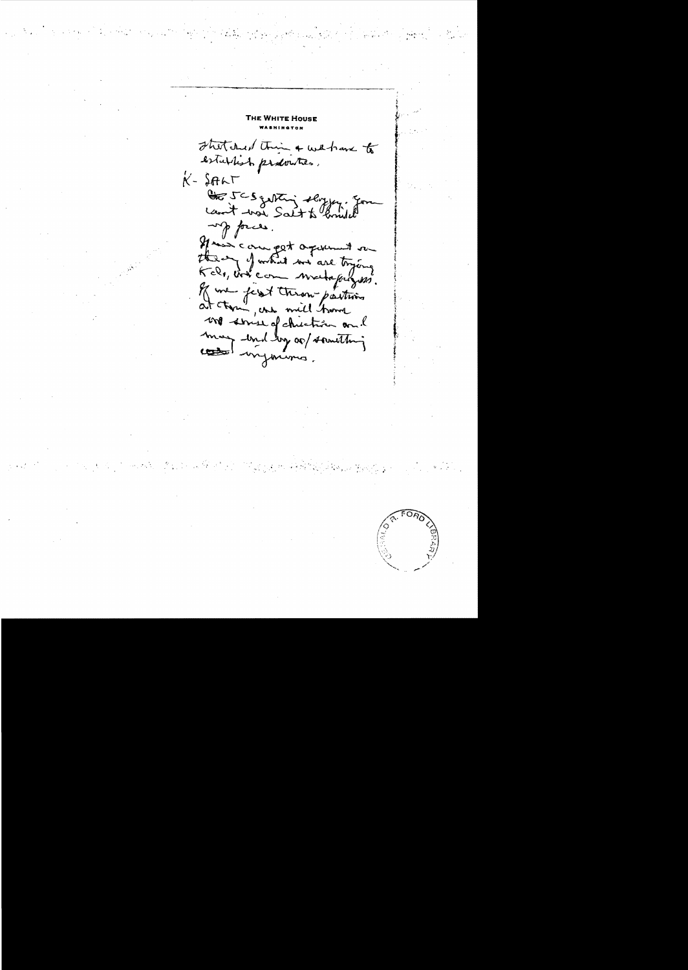THE WHITE Hous stretched this & will have to establish producties.  $K - SFAAT$ the 5CS getting slogger. up forces. Mais compet agreement sur of me first throw partins une service of chichien and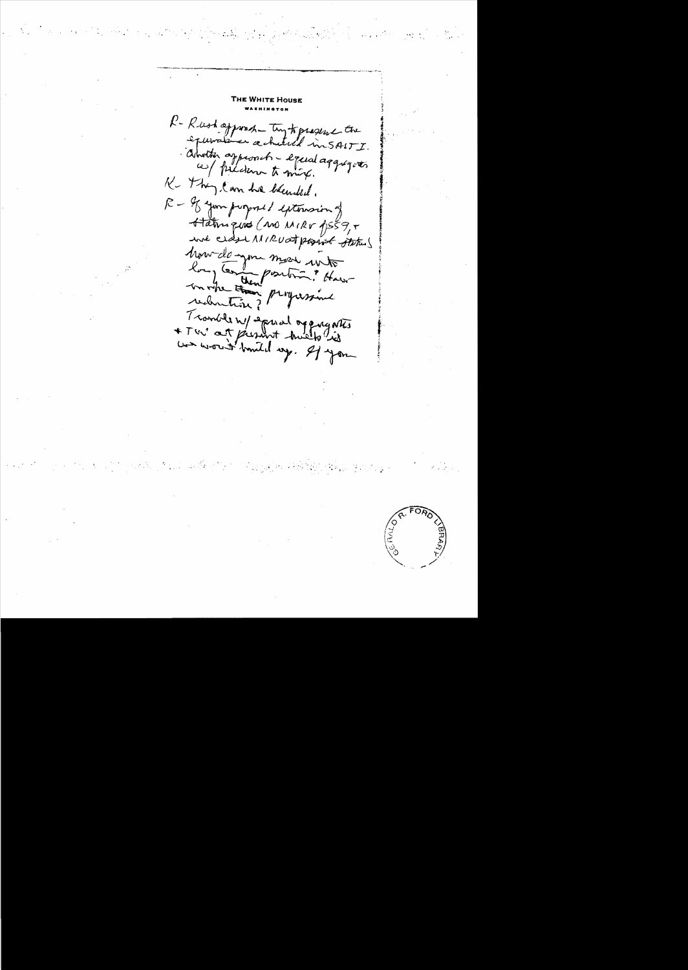R-Rushappoon try to present the about approach - equal aggregates K . They can be blended. R - If your proposed externaion Harrigues (MO MIRV 1559,5 Mourdonne mois unt un vitre tom program Tranble ny sound organization

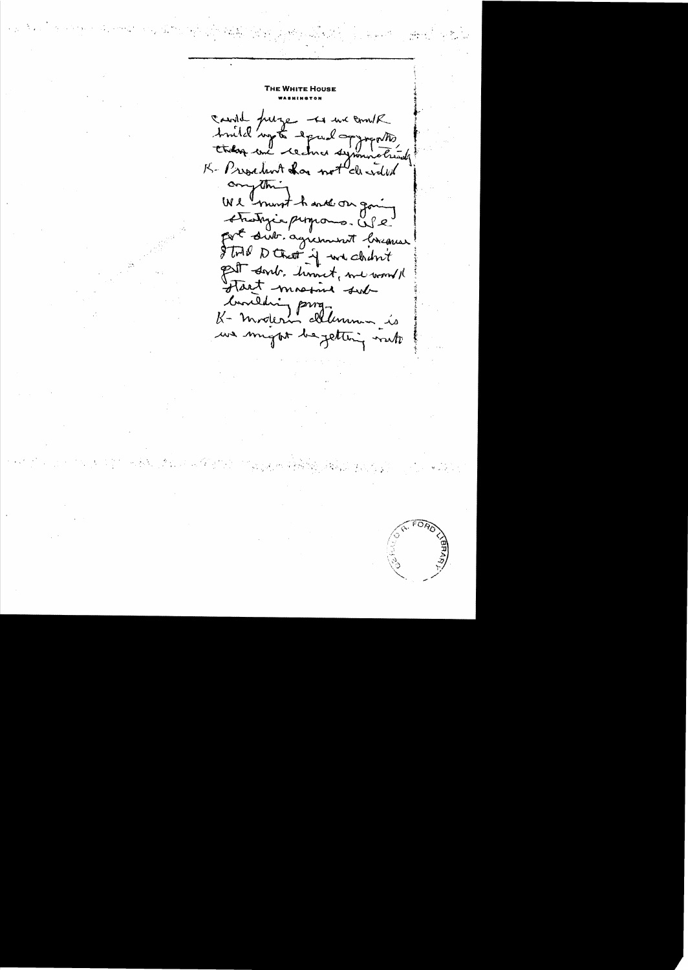THE WHITE HOUSE cand purge to we come truld'ingto equal opposite K- President chas not cleared comption We must hank on going Atrastigia propons. USC fort sub agreement breauer STAP D Chat of we chan't Pet sont. timet, me would Hart masine sub Concidio programmento we might be getting not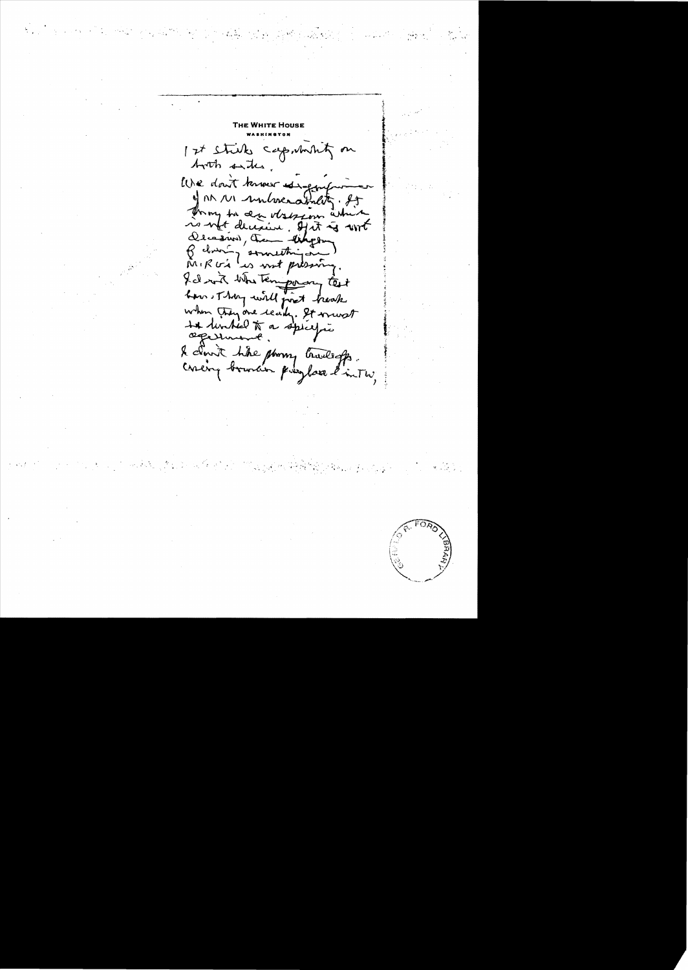1 st stick capminity on both sites. We don't know is ge of AM 111 unboxability. It Trong to an observer in is not decisive. Hit is with Decesno), the thephen Belvion (somethings) fil with the temporary test when they are ready. It would te turbed to a spécific & cloud the phony tradeffe.<br>Covery branches preyhave l'inter,

 $\mathcal{L}_{\text{max}} = \mathcal{L}_{\text{max}}$ 

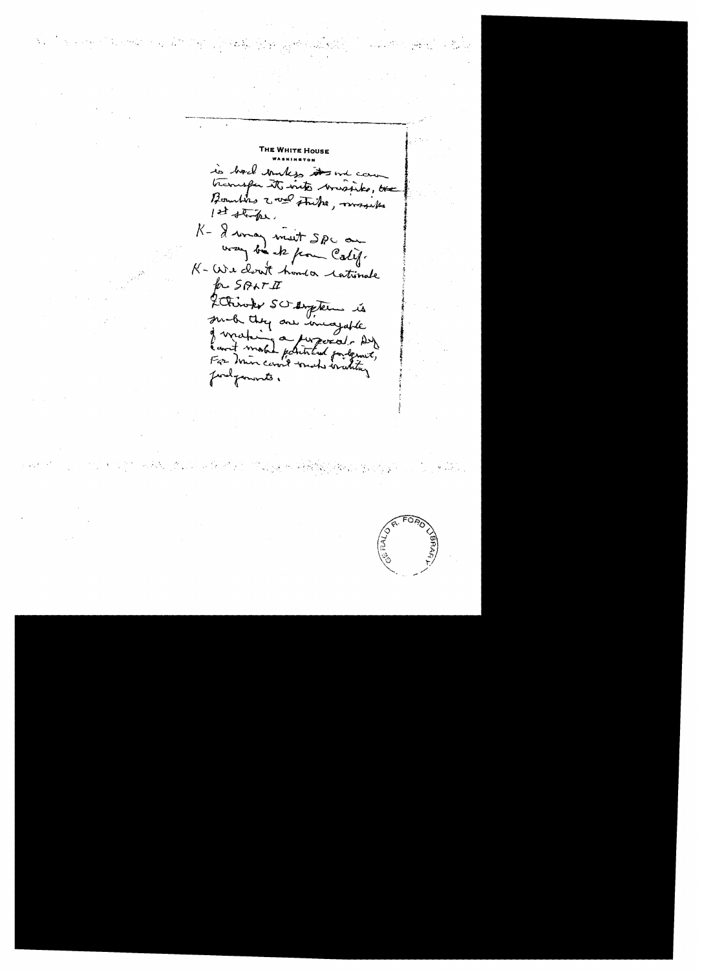THE WHITE Hous is back bunkes it and can Boundary wal strike, mayable 1st stake. K - I way most SPC on K-We clout homeon cationale PROSPATI 2 Chiroke SC engler is smal they are incapable de vrating a paperat des find generate.

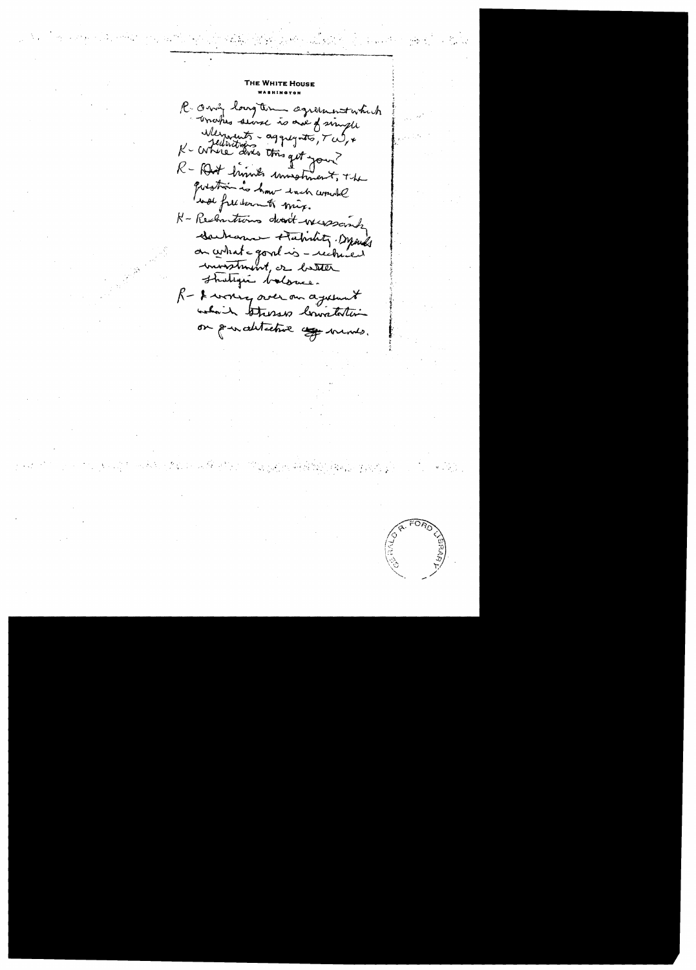E WHITE Hous R. Only longton agreement which Merments - aggregato, Tul, + R - Rost trimes unisoliment, The question is how hach would well free down to mix. N- Rechartions deat wesscape Sacharus Habity Dynes on certain point is - rechured investment, or better Shategui balonce. R - I wonney over our against which stresses lowaterties on pour distactive appe memes.

**REPARATION SIDE** 

 $\label{eq:2} \frac{1}{2} \sum_{i=1}^n \sum_{j=1}^n \sum_{j=1}^n \sum_{j=1}^n \sum_{j=1}^n \sum_{j=1}^n \sum_{j=1}^n \sum_{j=1}^n \sum_{j=1}^n \sum_{j=1}^n \sum_{j=1}^n \sum_{j=1}^n \sum_{j=1}^n \sum_{j=1}^n \sum_{j=1}^n \sum_{j=1}^n \sum_{j=1}^n \sum_{j=1}^n \sum_{j=1}^n \sum_{j=1}^n \sum_{j=1}^n \sum_{j=1}^n \sum_{j=1}^$